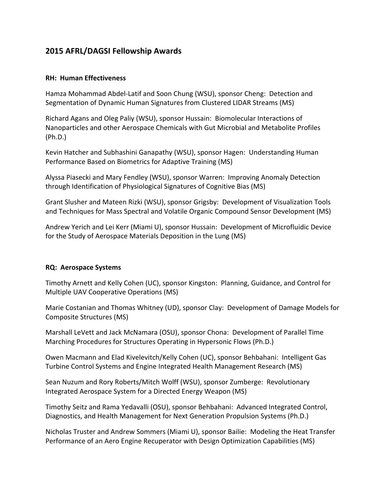# **2015 AFRL/DAGSI Fellowship Awards**

### **RH: Human Effectiveness**

Hamza Mohammad Abdel‐Latif and Soon Chung (WSU), sponsor Cheng: Detection and Segmentation of Dynamic Human Signatures from Clustered LIDAR Streams (MS)

Richard Agans and Oleg Paliy (WSU), sponsor Hussain: Biomolecular Interactions of Nanoparticles and other Aerospace Chemicals with Gut Microbial and Metabolite Profiles (Ph.D.)

Kevin Hatcher and Subhashini Ganapathy (WSU), sponsor Hagen: Understanding Human Performance Based on Biometrics for Adaptive Training (MS)

Alyssa Piasecki and Mary Fendley (WSU), sponsor Warren: Improving Anomaly Detection through Identification of Physiological Signatures of Cognitive Bias (MS)

Grant Slusher and Mateen Rizki (WSU), sponsor Grigsby: Development of Visualization Tools and Techniques for Mass Spectral and Volatile Organic Compound Sensor Development (MS)

Andrew Yerich and Lei Kerr (Miami U), sponsor Hussain: Development of Microfluidic Device for the Study of Aerospace Materials Deposition in the Lung (MS)

## **RQ: Aerospace Systems**

Timothy Arnett and Kelly Cohen (UC), sponsor Kingston: Planning, Guidance, and Control for Multiple UAV Cooperative Operations (MS)

Marie Costanian and Thomas Whitney (UD), sponsor Clay: Development of Damage Models for Composite Structures (MS)

Marshall LeVett and Jack McNamara (OSU), sponsor Chona: Development of Parallel Time Marching Procedures for Structures Operating in Hypersonic Flows (Ph.D.)

Owen Macmann and Elad Kivelevitch/Kelly Cohen (UC), sponsor Behbahani: Intelligent Gas Turbine Control Systems and Engine Integrated Health Management Research (MS)

Sean Nuzum and Rory Roberts/Mitch Wolff (WSU), sponsor Zumberge: Revolutionary Integrated Aerospace System for a Directed Energy Weapon (MS)

Timothy Seitz and Rama Yedavalli (OSU), sponsor Behbahani: Advanced Integrated Control, Diagnostics, and Health Management for Next Generation Propulsion Systems (Ph.D.)

Nicholas Truster and Andrew Sommers (Miami U), sponsor Bailie: Modeling the Heat Transfer Performance of an Aero Engine Recuperator with Design Optimization Capabilities (MS)